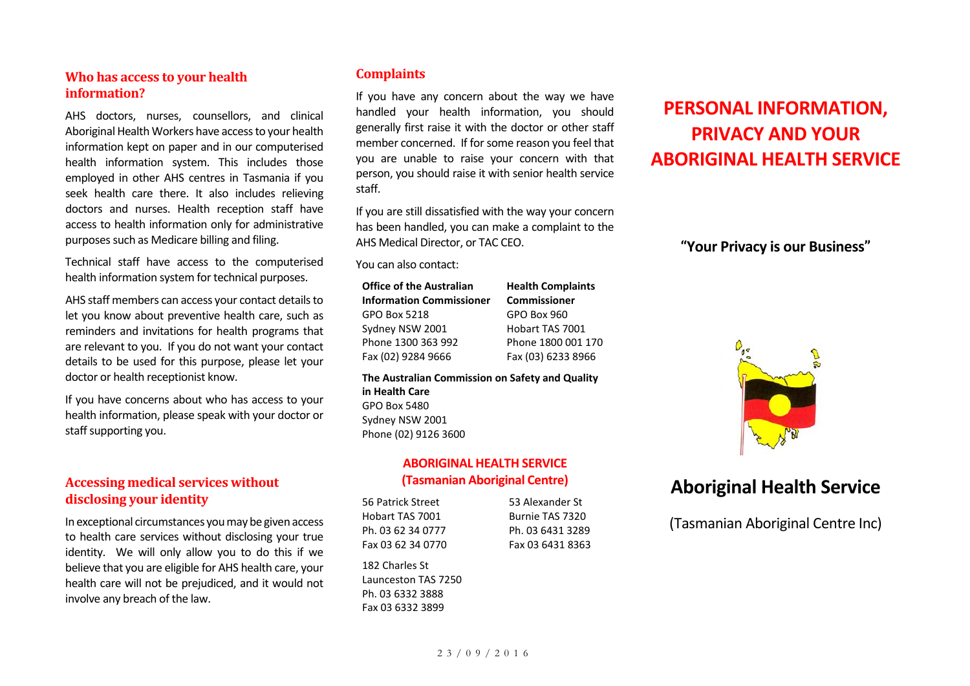# **Who has access to your health information?**

AHS doctors, nurses, counsellors, and clinical Aboriginal Health Workers have access to your health information kept on paper and in our computerised health information system. This includes those employed in other AHS centres in Tasmania if you seek health care there. It also includes relieving doctors and nurses. Health reception staff have access to health information only for administrative purposes such as Medicare billing and filing.

Technical staff have access to the computerised health information system for technical purposes.

AHS staff members can access your contact details to let you know about preventive health care, such as reminders and invitations for health programs that are relevant to you. If you do not want your contact details to be used for this purpose, please let your doctor or health receptionist know.

If you have concerns about who has access to your health information, please speak with your doctor or staff supporting you.

# **Accessing medical services without disclosing your identity**

In exceptional circumstances you may be given access to health care services without disclosing your true identity. We will only allow you to do this if we believe that you are eligible for AHS health care, your health care will not be prejudiced, and it would not involve any breach of the law.

# **Complaints**

If you have any concern about the way we have handled your health information, you should generally first raise it with the doctor or other staff member concerned. If for some reason you feel that you are unable to raise your concern with that person, you should raise it with senior health service staff.

If you are still dissatisfied with the way your concern has been handled, you can make <sup>a</sup> complaint to the AHS Medical Director, or TAC CEO.

You can also contact:

| <b>Office of the Australian</b> | <b>Health Complaints</b> |
|---------------------------------|--------------------------|
| <b>Information Commissioner</b> | <b>Commissioner</b>      |
| GPO Box 5218                    | GPO Box 960              |
| Sydney NSW 2001                 | Hobart TAS 7001          |
| Phone 1300 363 992              | Phone 1800 001 170       |
| Fax (02) 9284 9666              | Fax (03) 6233 8966       |

**The Australian Commission on Safety and Quality in Health Care** GPO Box 5480 Sydney NSW 2001 Phone (02) 9126 3600

#### **ABORIGINAL HEALTH SERVICE (Tasmanian Aboriginal Centre)**

56 Patrick Street Hobart TAS 7001Ph. 03 62 34 0777 Fax 03 62 34 0770

182 Charles St Launceston TAS 7250 Ph. 03 6332 3888 Fax 03 6332 3899

53 Alexander St Burnie TAS 7320Ph. 03 6431 3289 Fax 03 6431 8363

# **PERSONAL INFORMATION, PRIVACY AND YOUR ABORIGINAL HEALTH SERVICE**

**"Your Privacy is our Business"**



# **Aboriginal Health Service**

(Tasmanian Aboriginal Centre Inc)